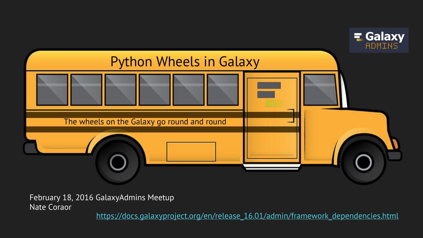

February 18, 2016 GalaxyAdmins Meetup Nate Coraor

[https://docs.galaxyproject.org/en/release\\_16.01/admin/framework\\_dependencies.html](https://docs.galaxyproject.org/en/release_16.01/admin/framework_dependencies.html)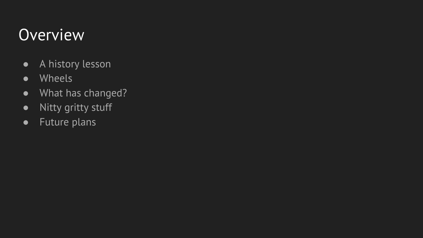#### **Overview**

- A history lesson
- Wheels
- What has changed?
- Nitty gritty stuff
- Future plans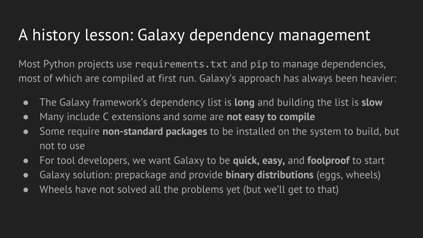#### A history lesson: Galaxy dependency management

Most Python projects use requirements.txt and pip to manage dependencies, most of which are compiled at first run. Galaxy's approach has always been heavier:

- The Galaxy framework's dependency list is **long** and building the list is **slow**
- Many include C extensions and some are **not easy to compile**
- Some require **non-standard packages** to be installed on the system to build, but not to use
- For tool developers, we want Galaxy to be **quick, easy,** and **foolproof** to start
- Galaxy solution: prepackage and provide **binary distributions** (eggs, wheels)
- Wheels have not solved all the problems yet (but we'll get to that)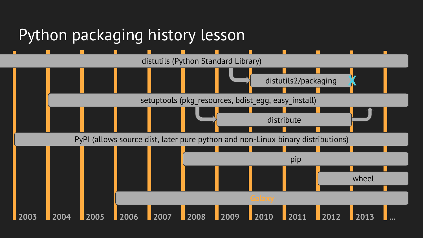#### Python packaging history lesson

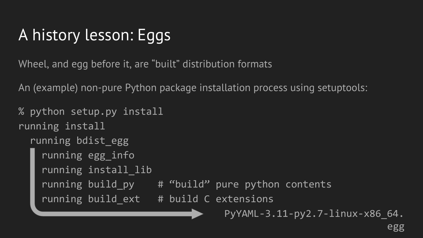# A history lesson: Eggs

Wheel, and egg before it, are "built" distribution formats

An (example) non-pure Python package installation process using setuptools:

```
% python setup.py install
running install
   running bdist_egg
     running egg_info
     running install_lib
    running build_py # "build" pure python contents
    running build ext # build C extensions
                                    PyYAML-3.11-py2.7-linux-x86_64.
```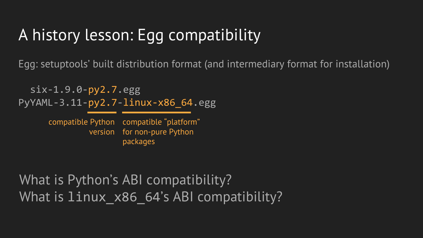## A history lesson: Egg compatibility

Egg: setuptools' built distribution format (and intermediary format for installation)

 six-1.9.0-py2.7.egg PyYAML-3.11-py2.7-linux-x86\_64.egg

> compatible Python compatible "platform" version for non-pure Python packages

What is Python's ABI compatibility? What is linux x86 64's ABI compatibility?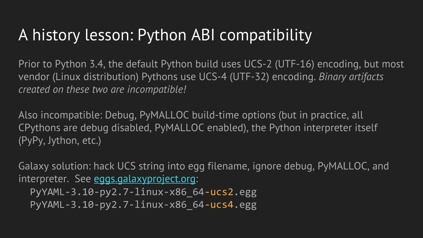#### A history lesson: Python ABI compatibility

Prior to Python 3.4, the default Python build uses UCS-2 (UTF-16) encoding, but most vendor (Linux distribution) Pythons use UCS-4 (UTF-32) encoding. *Binary artifacts created on these two are incompatible!*

Also incompatible: Debug, PyMALLOC build-time options (but in practice, all CPythons are debug disabled, PyMALLOC enabled), the Python interpreter itself (PyPy, Jython, etc.)

Galaxy solution: hack UCS string into egg filename, ignore debug, PyMALLOC, and interpreter. See [eggs.galaxyproject.org](https://eggs.galaxyproject.org/): PyYAML-3.10-py2.7-linux-x86\_64-ucs2.egg PyYAML-3.10-py2.7-linux-x86\_64-ucs4.egg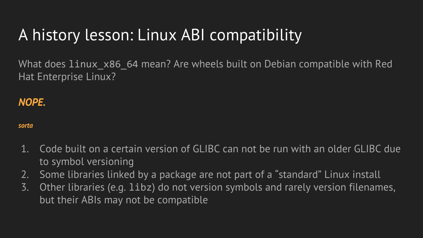## A history lesson: Linux ABI compatibility

What does linux  $x86$  64 mean? Are wheels built on Debian compatible with Red Hat Enterprise Linux?

#### *NOPE.*

#### *sorta*

- 1. Code built on a certain version of GLIBC can not be run with an older GLIBC due to symbol versioning
- 2. Some libraries linked by a package are not part of a "standard" Linux install
- 3. Other libraries (e.g. libz) do not version symbols and rarely version filenames, but their ABIs may not be compatible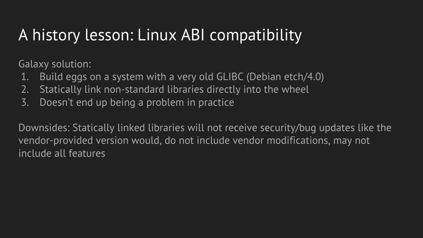#### A history lesson: Linux ABI compatibility

Galaxy solution:

- 1. Build eggs on a system with a very old GLIBC (Debian etch/4.0)
- 2. Statically link non-standard libraries directly into the wheel
- 3. Doesn't end up being a problem in practice

Downsides: Statically linked libraries will not receive security/bug updates like the vendor-provided version would, do not include vendor modifications, may not include all features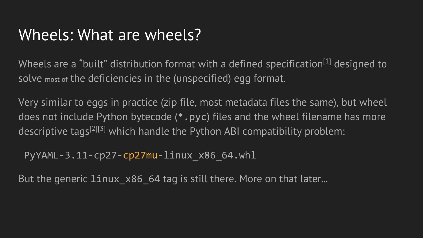#### Wheels: What are wheels?

Wheels are a "built" distribution format with a defined specification<sup>[1]</sup> designed to solve most of the deficiencies in the (unspecified) egg format.

Very similar to eggs in practice (zip file, most metadata files the same), but wheel does not include Python bytecode (\*.pyc) files and the wheel filename has more descriptive tags<sup>[2][3]</sup> which handle the Python ABI compatibility problem:

PyYAML-3.11-cp27-cp27mu-linux\_x86\_64.whl

But the generic linux x86 64 tag is still there. More on that later...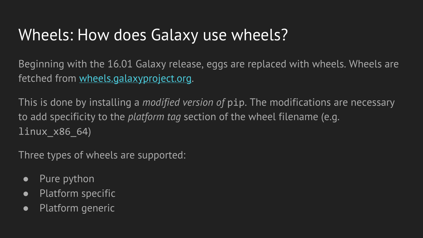#### Wheels: How does Galaxy use wheels?

Beginning with the 16.01 Galaxy release, eggs are replaced with wheels. Wheels are fetched from [wheels.galaxyproject.org](https://wheels.galaxyproject.org/).

This is done by installing a *modified version of* pip. The modifications are necessary to add specificity to the *platform tag* section of the wheel filename (e.g. linux\_x86\_64)

Three types of wheels are supported:

- Pure python
- Platform specific
- Platform generic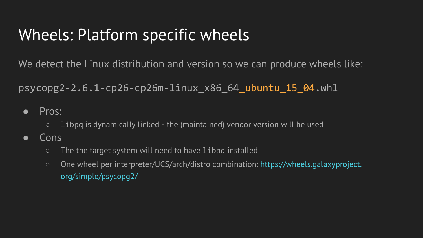#### Wheels: Platform specific wheels

We detect the Linux distribution and version so we can produce wheels like:

 $p$ sycopg2-2.6.1-cp26-cp26m-linux  $x86$  64 ubuntu 15 04.whl

- Pros:
	- libpq is dynamically linked the (maintained) vendor version will be used
- Cons
	- The the target system will need to have libpq installed
	- One wheel per interpreter/UCS/arch/distro combination: [https://wheels.galaxyproject.](https://wheels.galaxyproject.org/simple/psycopg2/) [org/simple/psycopg2/](https://wheels.galaxyproject.org/simple/psycopg2/)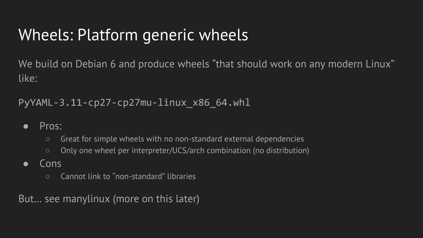#### Wheels: Platform generic wheels

We build on Debian 6 and produce wheels "that should work on any modern Linux" like:

PyYAML-3.11-cp27-cp27mu-linux\_x86\_64.whl

- Pros:
	- Great for simple wheels with no non-standard external dependencies
	- Only one wheel per interpreter/UCS/arch combination (no distribution)
- Cons
	- Cannot link to Ȥnon-standardȥ libraries

But… see manylinux (more on this later)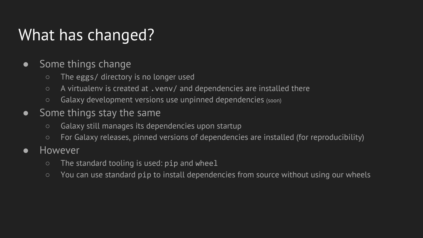#### What has changed?

- Some things change
	- The eggs/ directory is no longer used
	- A virtualenv is created at .venv/ and dependencies are installed there
	- Galaxy development versions use unpinned dependencies (soon)
- Some things stay the same
	- Galaxy still manages its dependencies upon startup
	- For Galaxy releases, pinned versions of dependencies are installed (for reproducibility)
- However
	- $\circ$  The standard tooling is used:  $\pi$  and wheel
	- You can use standard pip to install dependencies from source without using our wheels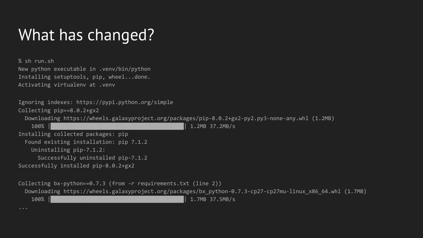#### What has changed?

% sh run.sh New python executable in .venv/bin/python Installing setuptools, pip, wheel...done. Activating virtualenv at .venv Ignoring indexes: https://pypi.python.org/simple Collecting pip==8.0.2+gx2 Downloading https://wheels.galaxyproject.org/packages/pip-8.0.2+gx2-py2.py3-none-any.whl (1.2MB) 100% |████████████████████████████████| 1.2MB 37.2MB/s Installing collected packages: pip Found existing installation: pip 7.1.2 Uninstalling pip-7.1.2: Successfully uninstalled pip-7.1.2 Successfully installed pip-8.0.2+gx2 Collecting bx-python==0.7.3 (from -r requirements.txt (line 2)) Downloading https://wheels.galaxyproject.org/packages/bx\_python-0.7.3-cp27-cp27mu-linux\_x86\_64.whl (1.7MB) 100% |████████████████████████████████| 1.7MB 37.5MB/s

...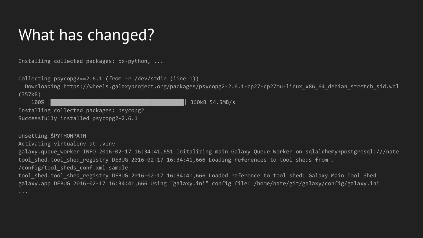#### What has changed?

Installing collected packages: bx-python, ...

Collecting psycopg2==2.6.1 (from -r /dev/stdin (line 1))

 Downloading https://wheels.galaxyproject.org/packages/psycopg2-2.6.1-cp27-cp27mu-linux\_x86\_64\_debian\_stretch\_sid.whl (357kB)

 100% |████████████████████████████████| 360kB 54.5MB/s Installing collected packages: psycopg2

Successfully installed psycopg2-2.6.1

Unsetting \$PYTHONPATH

Activating virtualenv at .venv

galaxy.queue worker INFO 2016-02-17 16:34:41,651 Initalizing main Galaxy Queue Worker on sqlalchemy+postgresql:///nate tool shed.tool shed registry DEBUG 2016-02-17 16:34:41,666 Loading references to tool sheds from .

#### /config/tool\_sheds\_conf.xml.sample

tool shed.tool shed registry DEBUG 2016-02-17 16:34:41,666 Loaded reference to tool shed: Galaxy Main Tool Shed galaxy.app DEBUG 2016-02-17 16:34:41,666 Using "galaxy.ini" config file: /home/nate/git/galaxy/config/galaxy.ini

...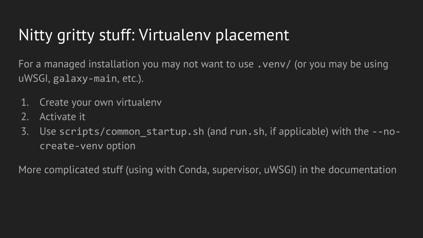### Nitty gritty stuff: Virtualenv placement

For a managed installation you may not want to use .venv/ (or you may be using uWSGI, galaxy-main, etc.).

- 1. Create your own virtualenv
- 2. Activate it
- 3. Use scripts/common\_startup.sh (and run.sh, if applicable) with the --nocreate-venv option

More complicated stuff (using with Conda, supervisor, uWSGI) in the documentation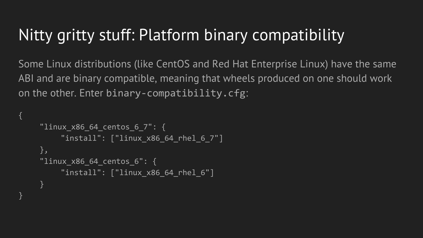#### Nitty gritty stuff: Platform binary compatibility

Some Linux distributions (like CentOS and Red Hat Enterprise Linux) have the same ABI and are binary compatible, meaning that wheels produced on one should work on the other. Enter binary-compatibility.cfg:

```
"linux x86 64 centos_6_7": {
    "install": ["linux x86 64 rhel 6 7"]
},
"linux x86 64 centos 6": {
    "install": ["linux x86 64 rhel 6"]
}
```
{

}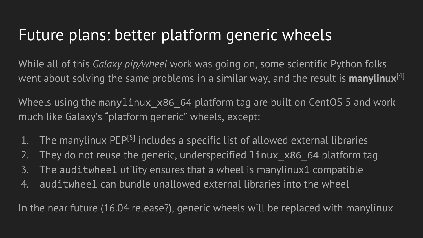#### Future plans: better platform generic wheels

While all of this *Galaxy pip/wheel* work was going on, some scientific Python folks went about solving the same problems in a similar way, and the result is **manylinux**<sup>[4]</sup>

Wheels using the manylinux x86 64 platform tag are built on CentOS 5 and work much like Galaxy's "platform generic" wheels, except:

- 1. The manylinux PEP<sup>[5]</sup> includes a specific list of allowed external libraries
- 2. They do not reuse the generic, underspecified linux x86 64 platform tag
- 3. The auditwheel utility ensures that a wheel is manylinux1 compatible
- 4. auditwheel can bundle unallowed external libraries into the wheel

In the near future (16.04 release?), generic wheels will be replaced with manylinux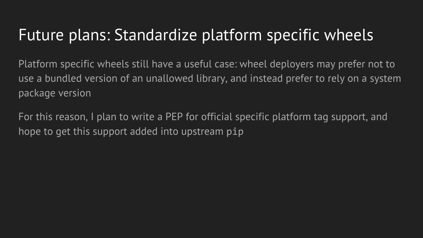#### Future plans: Standardize platform specific wheels

Platform specific wheels still have a useful case: wheel deployers may prefer not to use a bundled version of an unallowed library, and instead prefer to rely on a system package version

For this reason, I plan to write a PEP for official specific platform tag support, and hope to get this support added into upstream pip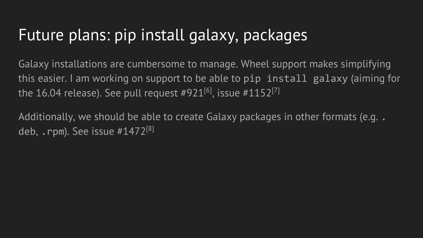#### Future plans: pip install galaxy, packages

Galaxy installations are cumbersome to manage. Wheel support makes simplifying this easier. I am working on support to be able to pip install galaxy (aiming for the 16.04 release). See pull request  $#921^{[6]}$ , issue  $#1152^{[7]}$ 

Additionally, we should be able to create Galaxy packages in other formats (e.g. . deb,  $\cdot$  rpm). See issue  $\#1472^{8}$